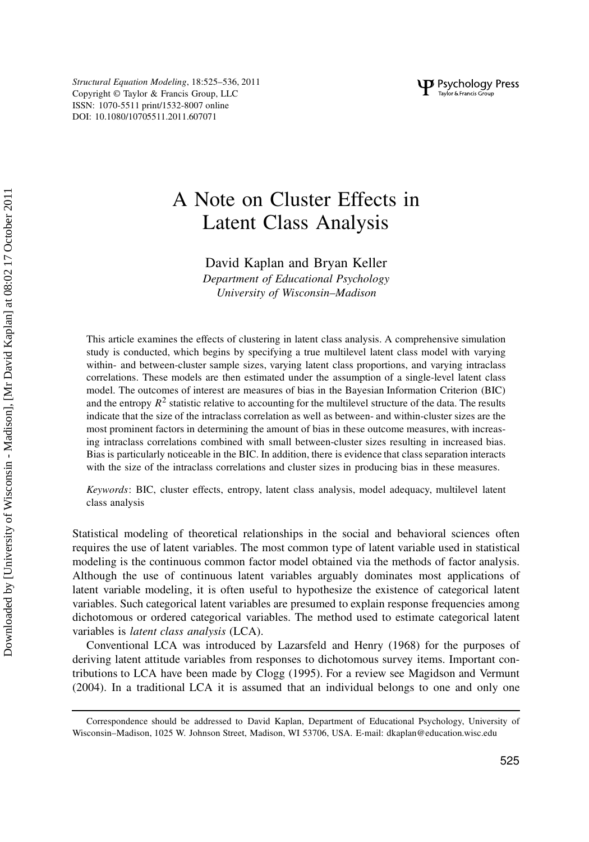Structural Equation Modeling, 18:525–536, 2011 Copyright © Taylor & Francis Group, LLC ISSN: 1070-5511 print/1532-8007 online DOI: 10.1080/10705511.2011.607071

# A Note on Cluster Effects in Latent Class Analysis

David Kaplan and Bryan Keller

Department of Educational Psychology University of Wisconsin–Madison

This article examines the effects of clustering in latent class analysis. A comprehensive simulation study is conducted, which begins by specifying a true multilevel latent class model with varying within- and between-cluster sample sizes, varying latent class proportions, and varying intraclass correlations. These models are then estimated under the assumption of a single-level latent class model. The outcomes of interest are measures of bias in the Bayesian Information Criterion (BIC) and the entropy  $R^2$  statistic relative to accounting for the multilevel structure of the data. The results indicate that the size of the intraclass correlation as well as between- and within-cluster sizes are the most prominent factors in determining the amount of bias in these outcome measures, with increasing intraclass correlations combined with small between-cluster sizes resulting in increased bias. Bias is particularly noticeable in the BIC. In addition, there is evidence that class separation interacts with the size of the intraclass correlations and cluster sizes in producing bias in these measures.

Keywords: BIC, cluster effects, entropy, latent class analysis, model adequacy, multilevel latent class analysis

Statistical modeling of theoretical relationships in the social and behavioral sciences often requires the use of latent variables. The most common type of latent variable used in statistical modeling is the continuous common factor model obtained via the methods of factor analysis. Although the use of continuous latent variables arguably dominates most applications of latent variable modeling, it is often useful to hypothesize the existence of categorical latent variables. Such categorical latent variables are presumed to explain response frequencies among dichotomous or ordered categorical variables. The method used to estimate categorical latent variables is latent class analysis (LCA).

Conventional LCA was introduced by Lazarsfeld and Henry (1968) for the purposes of deriving latent attitude variables from responses to dichotomous survey items. Important contributions to LCA have been made by Clogg (1995). For a review see Magidson and Vermunt (2004). In a traditional LCA it is assumed that an individual belongs to one and only one

Correspondence should be addressed to David Kaplan, Department of Educational Psychology, University of Wisconsin–Madison, 1025 W. Johnson Street, Madison, WI 53706, USA. E-mail: dkaplan@education.wisc.edu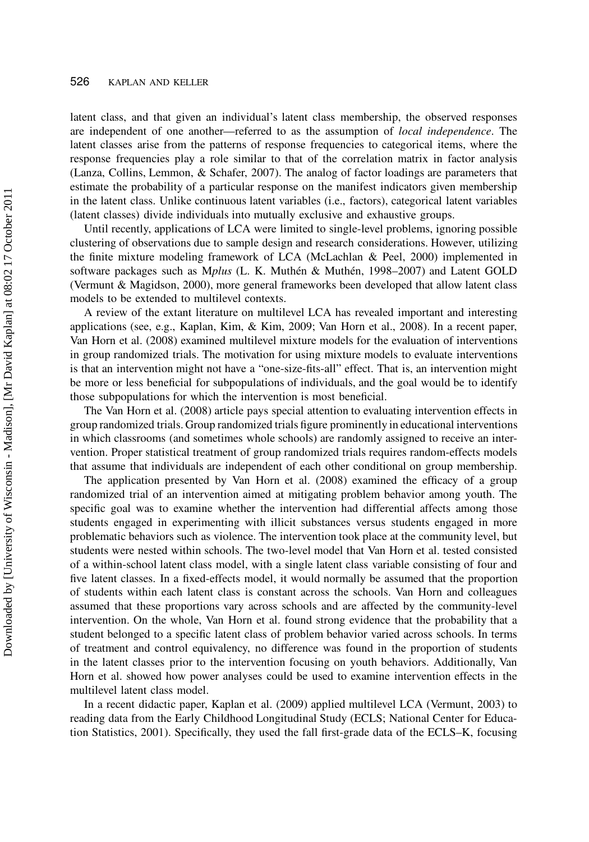latent class, and that given an individual's latent class membership, the observed responses are independent of one another—referred to as the assumption of local independence. The latent classes arise from the patterns of response frequencies to categorical items, where the response frequencies play a role similar to that of the correlation matrix in factor analysis (Lanza, Collins, Lemmon, & Schafer, 2007). The analog of factor loadings are parameters that estimate the probability of a particular response on the manifest indicators given membership in the latent class. Unlike continuous latent variables (i.e., factors), categorical latent variables (latent classes) divide individuals into mutually exclusive and exhaustive groups.

Until recently, applications of LCA were limited to single-level problems, ignoring possible clustering of observations due to sample design and research considerations. However, utilizing the finite mixture modeling framework of LCA (McLachlan & Peel, 2000) implemented in software packages such as Mplus (L. K. Muthén & Muthén, 1998–2007) and Latent GOLD (Vermunt & Magidson, 2000), more general frameworks been developed that allow latent class models to be extended to multilevel contexts.

A review of the extant literature on multilevel LCA has revealed important and interesting applications (see, e.g., Kaplan, Kim, & Kim, 2009; Van Horn et al., 2008). In a recent paper, Van Horn et al. (2008) examined multilevel mixture models for the evaluation of interventions in group randomized trials. The motivation for using mixture models to evaluate interventions is that an intervention might not have a "one-size-fits-all" effect. That is, an intervention might be more or less beneficial for subpopulations of individuals, and the goal would be to identify those subpopulations for which the intervention is most beneficial.

The Van Horn et al. (2008) article pays special attention to evaluating intervention effects in group randomized trials. Group randomized trials figure prominently in educational interventions in which classrooms (and sometimes whole schools) are randomly assigned to receive an intervention. Proper statistical treatment of group randomized trials requires random-effects models that assume that individuals are independent of each other conditional on group membership.

The application presented by Van Horn et al. (2008) examined the efficacy of a group randomized trial of an intervention aimed at mitigating problem behavior among youth. The specific goal was to examine whether the intervention had differential affects among those students engaged in experimenting with illicit substances versus students engaged in more problematic behaviors such as violence. The intervention took place at the community level, but students were nested within schools. The two-level model that Van Horn et al. tested consisted of a within-school latent class model, with a single latent class variable consisting of four and five latent classes. In a fixed-effects model, it would normally be assumed that the proportion of students within each latent class is constant across the schools. Van Horn and colleagues assumed that these proportions vary across schools and are affected by the community-level intervention. On the whole, Van Horn et al. found strong evidence that the probability that a student belonged to a specific latent class of problem behavior varied across schools. In terms of treatment and control equivalency, no difference was found in the proportion of students in the latent classes prior to the intervention focusing on youth behaviors. Additionally, Van Horn et al. showed how power analyses could be used to examine intervention effects in the multilevel latent class model.

In a recent didactic paper, Kaplan et al. (2009) applied multilevel LCA (Vermunt, 2003) to reading data from the Early Childhood Longitudinal Study (ECLS; National Center for Education Statistics, 2001). Specifically, they used the fall first-grade data of the ECLS–K, focusing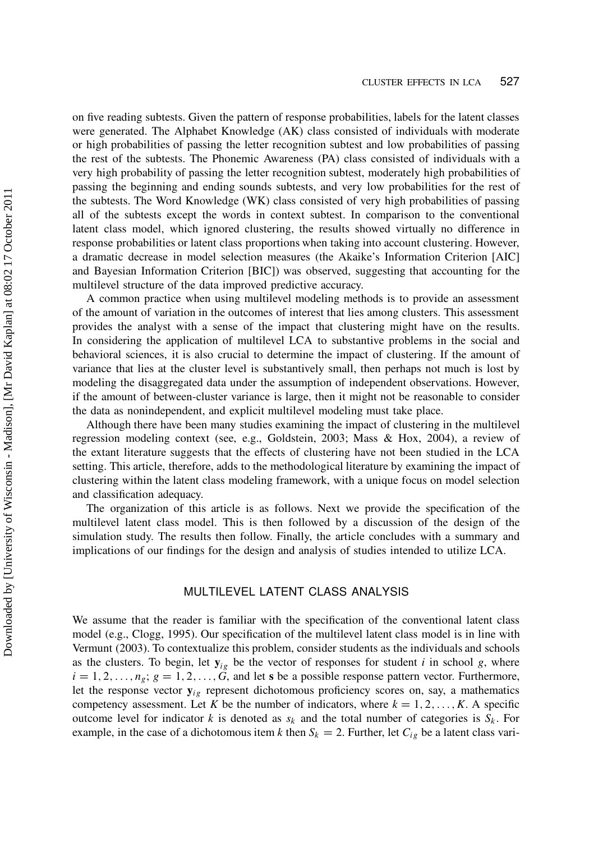on five reading subtests. Given the pattern of response probabilities, labels for the latent classes were generated. The Alphabet Knowledge (AK) class consisted of individuals with moderate or high probabilities of passing the letter recognition subtest and low probabilities of passing the rest of the subtests. The Phonemic Awareness (PA) class consisted of individuals with a very high probability of passing the letter recognition subtest, moderately high probabilities of passing the beginning and ending sounds subtests, and very low probabilities for the rest of the subtests. The Word Knowledge (WK) class consisted of very high probabilities of passing all of the subtests except the words in context subtest. In comparison to the conventional latent class model, which ignored clustering, the results showed virtually no difference in response probabilities or latent class proportions when taking into account clustering. However, a dramatic decrease in model selection measures (the Akaike's Information Criterion [AIC] and Bayesian Information Criterion [BIC]) was observed, suggesting that accounting for the multilevel structure of the data improved predictive accuracy.

A common practice when using multilevel modeling methods is to provide an assessment of the amount of variation in the outcomes of interest that lies among clusters. This assessment provides the analyst with a sense of the impact that clustering might have on the results. In considering the application of multilevel LCA to substantive problems in the social and behavioral sciences, it is also crucial to determine the impact of clustering. If the amount of variance that lies at the cluster level is substantively small, then perhaps not much is lost by modeling the disaggregated data under the assumption of independent observations. However, if the amount of between-cluster variance is large, then it might not be reasonable to consider the data as nonindependent, and explicit multilevel modeling must take place.

Although there have been many studies examining the impact of clustering in the multilevel regression modeling context (see, e.g., Goldstein, 2003; Mass & Hox, 2004), a review of the extant literature suggests that the effects of clustering have not been studied in the LCA setting. This article, therefore, adds to the methodological literature by examining the impact of clustering within the latent class modeling framework, with a unique focus on model selection and classification adequacy.

The organization of this article is as follows. Next we provide the specification of the multilevel latent class model. This is then followed by a discussion of the design of the simulation study. The results then follow. Finally, the article concludes with a summary and implications of our findings for the design and analysis of studies intended to utilize LCA.

# MULTILEVEL LATENT CLASS ANALYSIS

We assume that the reader is familiar with the specification of the conventional latent class model (e.g., Clogg, 1995). Our specification of the multilevel latent class model is in line with Vermunt (2003). To contextualize this problem, consider students as the individuals and schools as the clusters. To begin, let  $y_{ig}$  be the vector of responses for student i in school g, where  $i = 1, 2, \ldots, n_g; g = 1, 2, \ldots, G$ , and let s be a possible response pattern vector. Furthermore, let the response vector  $y_{ig}$  represent dichotomous proficiency scores on, say, a mathematics competency assessment. Let K be the number of indicators, where  $k = 1, 2, \ldots, K$ . A specific outcome level for indicator k is denoted as  $s_k$  and the total number of categories is  $S_k$ . For example, in the case of a dichotomous item k then  $S_k = 2$ . Further, let  $C_{ig}$  be a latent class vari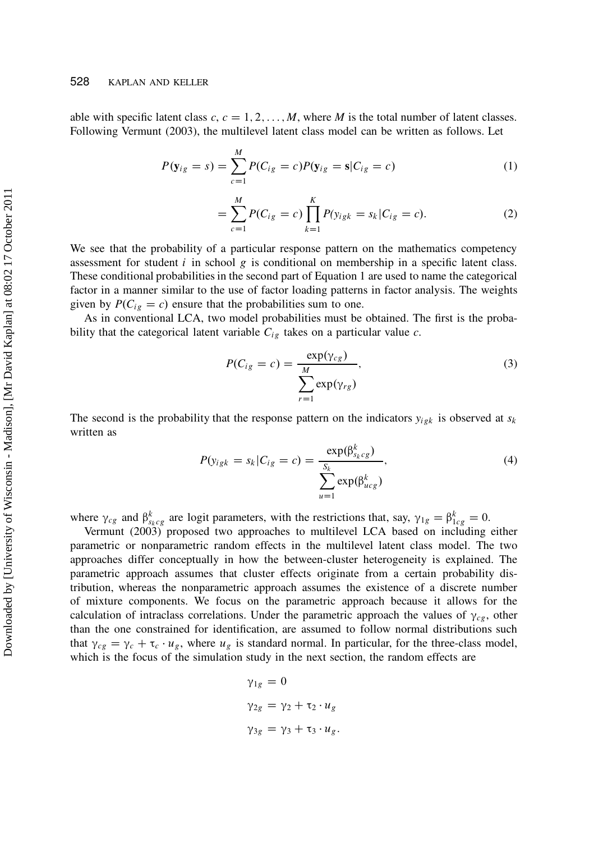able with specific latent class  $c, c = 1, 2, \ldots, M$ , where M is the total number of latent classes. Following Vermunt (2003), the multilevel latent class model can be written as follows. Let

$$
P(\mathbf{y}_{ig} = s) = \sum_{c=1}^{M} P(C_{ig} = c) P(\mathbf{y}_{ig} = s | C_{ig} = c)
$$
 (1)

$$
= \sum_{c=1}^{M} P(C_{ig} = c) \prod_{k=1}^{K} P(y_{igk} = s_k | C_{ig} = c).
$$
 (2)

We see that the probability of a particular response pattern on the mathematics competency assessment for student  $i$  in school  $g$  is conditional on membership in a specific latent class. These conditional probabilities in the second part of Equation 1 are used to name the categorical factor in a manner similar to the use of factor loading patterns in factor analysis. The weights given by  $P(C_{ig} = c)$  ensure that the probabilities sum to one.

As in conventional LCA, two model probabilities must be obtained. The first is the probability that the categorical latent variable  $C_{ig}$  takes on a particular value c.

$$
P(C_{ig} = c) = \frac{\exp(\gamma_{cg})}{\sum_{r=1}^{M} \exp(\gamma_{rg})},
$$
\n(3)

The second is the probability that the response pattern on the indicators  $y_{ijk}$  is observed at  $s_k$ written as

$$
P(y_{igk} = s_k | C_{ig} = c) = \frac{\exp(\beta_{s_k c g}^k)}{\sum_{u=1}^{S_k} \exp(\beta_{ucg}^k)}
$$
\n<sup>(4)</sup>

where  $\gamma_{cg}$  and  $\beta_{s_kcg}^k$  are logit parameters, with the restrictions that, say,  $\gamma_{1g} = \beta_{1cg}^k = 0$ .

Vermunt (2003) proposed two approaches to multilevel LCA based on including either parametric or nonparametric random effects in the multilevel latent class model. The two approaches differ conceptually in how the between-cluster heterogeneity is explained. The parametric approach assumes that cluster effects originate from a certain probability distribution, whereas the nonparametric approach assumes the existence of a discrete number of mixture components. We focus on the parametric approach because it allows for the calculation of intraclass correlations. Under the parametric approach the values of  $\gamma_{ce}$ , other than the one constrained for identification, are assumed to follow normal distributions such that  $\gamma_{cg} = \gamma_c + \tau_c \cdot u_g$ , where  $u_g$  is standard normal. In particular, for the three-class model, which is the focus of the simulation study in the next section, the random effects are

$$
\gamma_{1g} = 0
$$
  
\n
$$
\gamma_{2g} = \gamma_2 + \tau_2 \cdot u_g
$$
  
\n
$$
\gamma_{3g} = \gamma_3 + \tau_3 \cdot u_g.
$$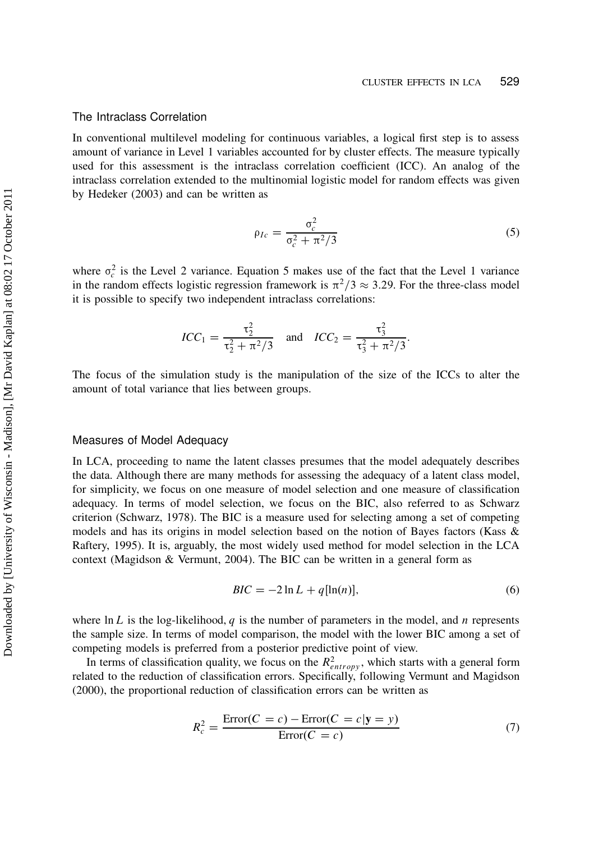#### The Intraclass Correlation

In conventional multilevel modeling for continuous variables, a logical first step is to assess amount of variance in Level 1 variables accounted for by cluster effects. The measure typically used for this assessment is the intraclass correlation coefficient (ICC). An analog of the intraclass correlation extended to the multinomial logistic model for random effects was given by Hedeker (2003) and can be written as

$$
\rho_{Ic} = \frac{\sigma_c^2}{\sigma_c^2 + \pi^2/3} \tag{5}
$$

:

where  $\sigma_c^2$  is the Level 2 variance. Equation 5 makes use of the fact that the Level 1 variance in the random effects logistic regression framework is  $\pi^2/3 \approx 3.29$ . For the three-class model it is possible to specify two independent intraclass correlations:

$$
ICC_1 = \frac{\tau_2^2}{\tau_2^2 + \pi^2/3} \quad \text{and} \quad ICC_2 = \frac{\tau_3^2}{\tau_3^2 + \pi^2/3}
$$

The focus of the simulation study is the manipulation of the size of the ICCs to alter the amount of total variance that lies between groups.

## Measures of Model Adequacy

In LCA, proceeding to name the latent classes presumes that the model adequately describes the data. Although there are many methods for assessing the adequacy of a latent class model, for simplicity, we focus on one measure of model selection and one measure of classification adequacy. In terms of model selection, we focus on the BIC, also referred to as Schwarz criterion (Schwarz, 1978). The BIC is a measure used for selecting among a set of competing models and has its origins in model selection based on the notion of Bayes factors (Kass & Raftery, 1995). It is, arguably, the most widely used method for model selection in the LCA context (Magidson & Vermunt, 2004). The BIC can be written in a general form as

$$
BIC = -2\ln L + q[\ln(n)],\tag{6}
$$

where ln L is the log-likelihood, q is the number of parameters in the model, and n represents the sample size. In terms of model comparison, the model with the lower BIC among a set of competing models is preferred from a posterior predictive point of view.

In terms of classification quality, we focus on the  $R_{entropy}^2$ , which starts with a general form related to the reduction of classification errors. Specifically, following Vermunt and Magidson (2000), the proportional reduction of classification errors can be written as

$$
R_c^2 = \frac{\text{Error}(C = c) - \text{Error}(C = c | \mathbf{y} = y)}{\text{Error}(C = c)}
$$
(7)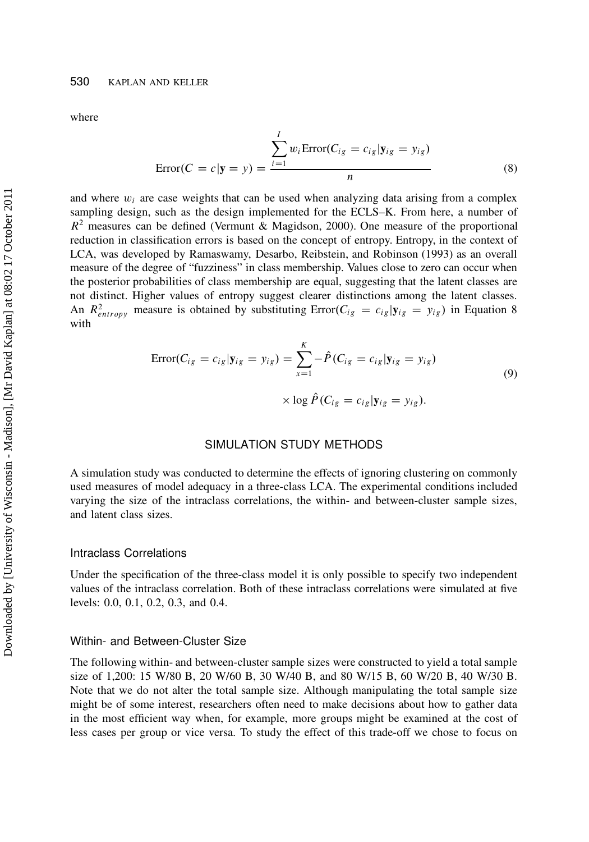where

$$
Error(C = c | \mathbf{y} = y) = \frac{\sum_{i=1}^{I} w_i \text{Error}(C_{ig} = c_{ig} | \mathbf{y}_{ig} = y_{ig})}{n}
$$
\n(8)

and where  $w_i$  are case weights that can be used when analyzing data arising from a complex sampling design, such as the design implemented for the ECLS–K. From here, a number of  $R<sup>2</sup>$  measures can be defined (Vermunt & Magidson, 2000). One measure of the proportional reduction in classification errors is based on the concept of entropy. Entropy, in the context of LCA, was developed by Ramaswamy, Desarbo, Reibstein, and Robinson (1993) as an overall measure of the degree of "fuzziness" in class membership. Values close to zero can occur when the posterior probabilities of class membership are equal, suggesting that the latent classes are not distinct. Higher values of entropy suggest clearer distinctions among the latent classes. An  $R_{entropy}^2$  measure is obtained by substituting  $Error(C_{ig} = c_{ig}|y_{ig} = y_{ig})$  in Equation 8 with

$$
\text{Error}(C_{ig} = c_{ig}|\mathbf{y}_{ig} = y_{ig}) = \sum_{x=1}^{K} -\hat{P}(C_{ig} = c_{ig}|\mathbf{y}_{ig} = y_{ig})
$$
  
 
$$
\times \log \hat{P}(C_{ig} = c_{ig}|\mathbf{y}_{ig} = y_{ig}).
$$
 (9)

## SIMULATION STUDY METHODS

A simulation study was conducted to determine the effects of ignoring clustering on commonly used measures of model adequacy in a three-class LCA. The experimental conditions included varying the size of the intraclass correlations, the within- and between-cluster sample sizes, and latent class sizes.

#### Intraclass Correlations

Under the specification of the three-class model it is only possible to specify two independent values of the intraclass correlation. Both of these intraclass correlations were simulated at five levels: 0.0, 0.1, 0.2, 0.3, and 0.4.

#### Within- and Between-Cluster Size

The following within- and between-cluster sample sizes were constructed to yield a total sample size of 1,200: 15 W/80 B, 20 W/60 B, 30 W/40 B, and 80 W/15 B, 60 W/20 B, 40 W/30 B. Note that we do not alter the total sample size. Although manipulating the total sample size might be of some interest, researchers often need to make decisions about how to gather data in the most efficient way when, for example, more groups might be examined at the cost of less cases per group or vice versa. To study the effect of this trade-off we chose to focus on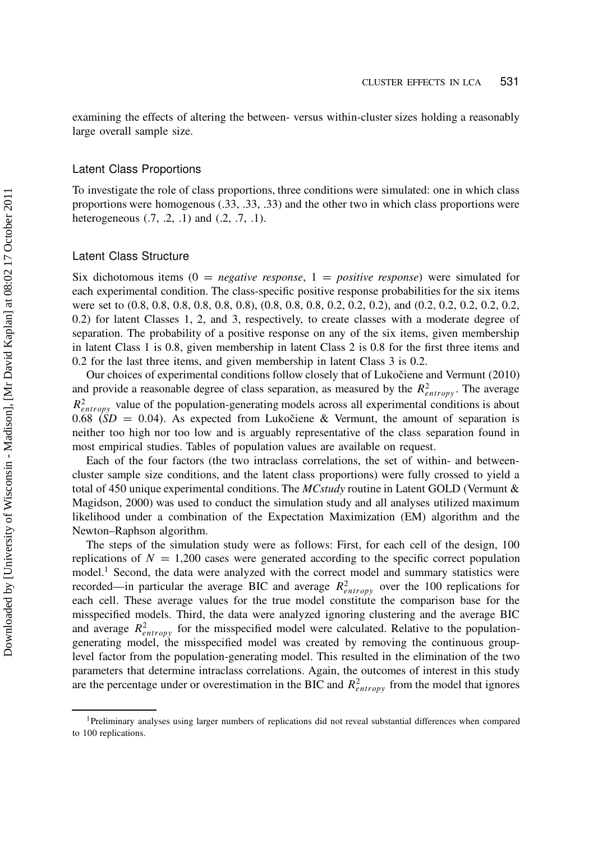examining the effects of altering the between- versus within-cluster sizes holding a reasonably large overall sample size.

## Latent Class Proportions

To investigate the role of class proportions, three conditions were simulated: one in which class proportions were homogenous (.33, .33, .33) and the other two in which class proportions were heterogeneous (.7, .2, .1) and (.2, .7, .1).

## Latent Class Structure

Six dichotomous items  $(0 = negative response, 1 = positive response)$  were simulated for each experimental condition. The class-specific positive response probabilities for the six items were set to  $(0.8, 0.8, 0.8, 0.8, 0.8, 0.8), (0.8, 0.8, 0.8, 0.2, 0.2, 0.2),$  and  $(0.2, 0.2, 0.2, 0.2, 0.2, 0.2, 0.2)$ 0.2) for latent Classes 1, 2, and 3, respectively, to create classes with a moderate degree of separation. The probability of a positive response on any of the six items, given membership in latent Class 1 is 0.8, given membership in latent Class 2 is 0.8 for the first three items and 0.2 for the last three items, and given membership in latent Class 3 is 0.2.

Our choices of experimental conditions follow closely that of Lukočiene and Vermunt (2010) and provide a reasonable degree of class separation, as measured by the  $R_{entropy}^2$ . The average  $R_{entropy}^2$  value of the population-generating models across all experimental conditions is about 0.68  $(SD = 0.04)$ . As expected from Lukočiene & Vermunt, the amount of separation is neither too high nor too low and is arguably representative of the class separation found in most empirical studies. Tables of population values are available on request.

Each of the four factors (the two intraclass correlations, the set of within- and betweencluster sample size conditions, and the latent class proportions) were fully crossed to yield a total of 450 unique experimental conditions. The MCstudy routine in Latent GOLD (Vermunt & Magidson, 2000) was used to conduct the simulation study and all analyses utilized maximum likelihood under a combination of the Expectation Maximization (EM) algorithm and the Newton–Raphson algorithm.

The steps of the simulation study were as follows: First, for each cell of the design, 100 replications of  $N = 1,200$  cases were generated according to the specific correct population model.<sup>1</sup> Second, the data were analyzed with the correct model and summary statistics were recorded—in particular the average BIC and average  $R_{entropy}^2$  over the 100 replications for each cell. These average values for the true model constitute the comparison base for the misspecified models. Third, the data were analyzed ignoring clustering and the average BIC and average  $R_{entropy}^2$  for the misspecified model were calculated. Relative to the populationgenerating model, the misspecified model was created by removing the continuous grouplevel factor from the population-generating model. This resulted in the elimination of the two parameters that determine intraclass correlations. Again, the outcomes of interest in this study are the percentage under or overestimation in the BIC and  $R_{entropy}^2$  from the model that ignores

<sup>1</sup>Preliminary analyses using larger numbers of replications did not reveal substantial differences when compared to 100 replications.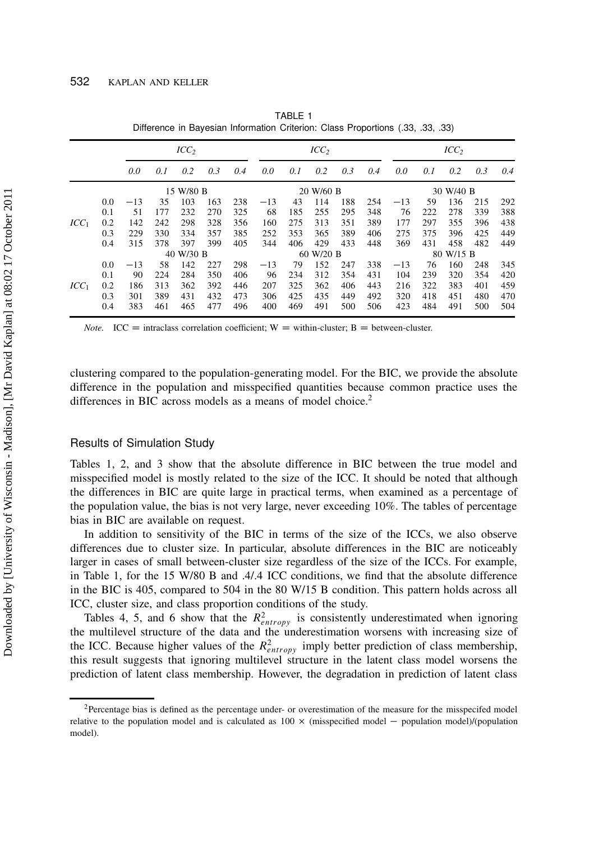|                  |     |           |     |     | ICC <sub>2</sub> |     | ICC <sub>2</sub> |           |           |     |           |       |     |           |     |     |  |  |
|------------------|-----|-----------|-----|-----|------------------|-----|------------------|-----------|-----------|-----|-----------|-------|-----|-----------|-----|-----|--|--|
|                  |     | 0.0       | 0.1 | 0.2 | 0.3              | 0.4 | 0.0              | 0.1       | 0.2       | 0.3 | 0.4       | 0.0   | 0.1 | 0.2       | 0.3 | 0.4 |  |  |
|                  |     | 15 W/80 B |     |     |                  |     |                  |           | 20 W/60 B |     | 30 W/40 B |       |     |           |     |     |  |  |
|                  | 0.0 | $-13$     | 35  | 103 | 163              | 238 | $-13$            | 43        | 114       | 188 | 254       | $-13$ | 59  | 136       | 215 | 292 |  |  |
| ICC <sub>1</sub> | 0.1 | 51        | 177 | 232 | 270              | 325 | 68               | 185       | 255       | 295 | 348       | 76    | 222 | 278       | 339 | 388 |  |  |
|                  | 0.2 | 142       | 242 | 298 | 328              | 356 | 160              | 275       | 313       | 351 | 389       | 177   | 297 | 355       | 396 | 438 |  |  |
|                  | 0.3 | 229       | 330 | 334 | 357              | 385 | 252              | 353       | 365       | 389 | 406       | 275   | 375 | 396       | 425 | 449 |  |  |
|                  | 0.4 | 315       | 378 | 397 | 399              | 405 | 344              | 406       | 429       | 433 | 448       | 369   | 431 | 458       | 482 | 449 |  |  |
|                  |     | 40 W/30 B |     |     |                  |     |                  | 60 W/20 B |           |     |           |       |     | 80 W/15 B |     |     |  |  |
|                  | 0.0 | $-13$     | 58  | 142 | 227              | 298 | $-13$            | 79        | 152       | 247 | 338       | $-13$ | 76  | 160       | 248 | 345 |  |  |
|                  | 0.1 | 90        | 224 | 284 | 350              | 406 | 96               | 234       | 312       | 354 | 431       | 104   | 239 | 320       | 354 | 420 |  |  |
| ICC <sub>1</sub> | 0.2 | 186       | 313 | 362 | 392              | 446 | 207              | 325       | 362       | 406 | 443       | 216   | 322 | 383       | 401 | 459 |  |  |
|                  | 0.3 | 301       | 389 | 431 | 432              | 473 | 306              | 425       | 435       | 449 | 492       | 320   | 418 | 451       | 480 | 470 |  |  |
|                  | 0.4 | 383       | 461 | 465 | 477              | 496 | 400              | 469       | 491       | 500 | 506       | 423   | 484 | 491       | 500 | 504 |  |  |

TABLE 1 Difference in Bayesian Information Criterion: Class Proportions (.33, .33, .33)

*Note.* ICC = intraclass correlation coefficient; W = within-cluster; B = between-cluster.

clustering compared to the population-generating model. For the BIC, we provide the absolute difference in the population and misspecified quantities because common practice uses the differences in BIC across models as a means of model choice.<sup>2</sup>

#### Results of Simulation Study

Tables 1, 2, and 3 show that the absolute difference in BIC between the true model and misspecified model is mostly related to the size of the ICC. It should be noted that although the differences in BIC are quite large in practical terms, when examined as a percentage of the population value, the bias is not very large, never exceeding 10%. The tables of percentage bias in BIC are available on request.

In addition to sensitivity of the BIC in terms of the size of the ICCs, we also observe differences due to cluster size. In particular, absolute differences in the BIC are noticeably larger in cases of small between-cluster size regardless of the size of the ICCs. For example, in Table 1, for the 15 W/80 B and .4/.4 ICC conditions, we find that the absolute difference in the BIC is 405, compared to 504 in the 80 W/15 B condition. This pattern holds across all ICC, cluster size, and class proportion conditions of the study.

Tables 4, 5, and 6 show that the  $R_{entropy}^2$  is consistently underestimated when ignoring the multilevel structure of the data and the underestimation worsens with increasing size of the ICC. Because higher values of the  $R_{entropy}^2$  imply better prediction of class membership, this result suggests that ignoring multilevel structure in the latent class model worsens the prediction of latent class membership. However, the degradation in prediction of latent class

<sup>&</sup>lt;sup>2</sup>Percentage bias is defined as the percentage under- or overestimation of the measure for the misspecifed model relative to the population model and is calculated as  $100 \times$  (misspecified model – population model)/(population model).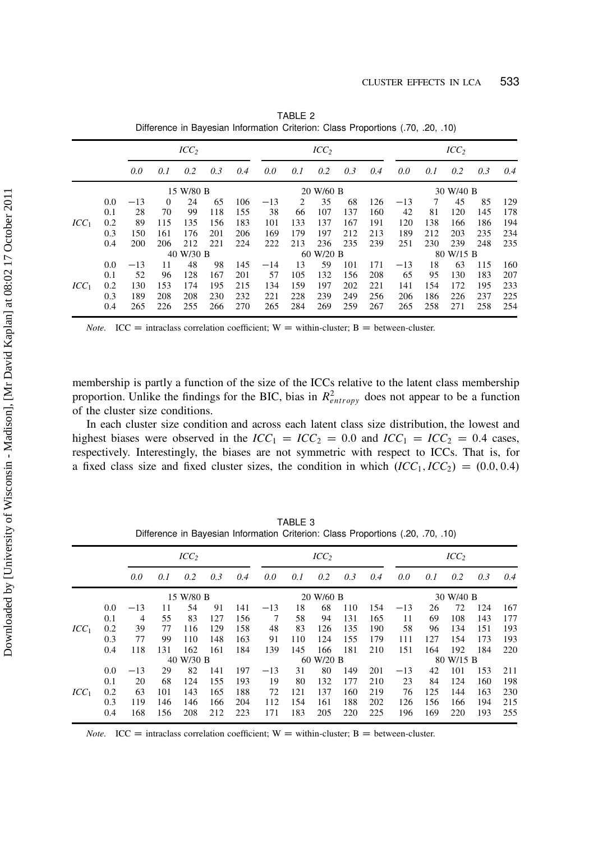|         |     |           |          | ICC <sub>2</sub> |     |     |       |           | ICC <sub>2</sub> |     | ICC <sub>2</sub> |       |     |           |     |     |  |  |
|---------|-----|-----------|----------|------------------|-----|-----|-------|-----------|------------------|-----|------------------|-------|-----|-----------|-----|-----|--|--|
|         |     | 0.0       | 0.1      | 0.2              | 0.3 | 0.4 | 0.0   | 0.1       | 0.2              | 0.3 | 0.4              | 0.0   | 0.1 | 0.2       | 0.3 | 0.4 |  |  |
|         |     | 15 W/80 B |          |                  |     |     |       |           | 20 W/60 B        |     | 30 W/40 B        |       |     |           |     |     |  |  |
|         | 0.0 | $-13$     | $\Omega$ | 24               | 65  | 106 | $-13$ | 2         | 35               | 68  | 126              | $-13$ | 7   | 45        | 85  | 129 |  |  |
| $ICC_1$ | 0.1 | 28        | 70       | 99               | 118 | 155 | 38    | 66        | 107              | 137 | 160              | 42    | 81  | 120       | 145 | 178 |  |  |
|         | 0.2 | 89        | 115      | 135              | 156 | 183 | 101   | 133       | 137              | 167 | 191              | 120   | 138 | 166       | 186 | 194 |  |  |
|         | 0.3 | 150       | 161      | 176              | 201 | 206 | 169   | 179       | 197              | 212 | 213              | 189   | 212 | 203       | 235 | 234 |  |  |
|         | 0.4 | 200       | 206      | 212              | 221 | 224 | 222   | 213       | 236              | 235 | 239              | 251   | 230 | 239       | 248 | 235 |  |  |
|         |     | 40 W/30 B |          |                  |     |     |       | 60 W/20 B |                  |     |                  |       |     | 80 W/15 B |     |     |  |  |
|         | 0.0 | $-13$     | 11       | 48               | 98  | 145 | $-14$ | 13        | 59               | 101 | 171              | $-13$ | 18  | 63        | 115 | 160 |  |  |
|         | 0.1 | 52        | 96       | 128              | 167 | 201 | 57    | 105       | 132              | 156 | 208              | 65    | 95  | 130       | 183 | 207 |  |  |
| $ICC_1$ | 0.2 | 130       | 153      | 174              | 195 | 215 | 134   | 159       | 197              | 202 | 221              | 141   | 154 | 172       | 195 | 233 |  |  |
|         | 0.3 | 189       | 208      | 208              | 230 | 232 | 221   | 228       | 239              | 249 | 256              | 206   | 186 | 226       | 237 | 225 |  |  |
|         | 0.4 | 265       | 226      | 255              | 266 | 270 | 265   | 284       | 269              | 259 | 267              | 265   | 258 | 271       | 258 | 254 |  |  |

TABLE 2 Difference in Bayesian Information Criterion: Class Proportions (.70, .20, .10)

*Note.* ICC = intraclass correlation coefficient; W = within-cluster; B = between-cluster.

membership is partly a function of the size of the ICCs relative to the latent class membership proportion. Unlike the findings for the BIC, bias in  $R_{entropy}^2$  does not appear to be a function of the cluster size conditions.

In each cluster size condition and across each latent class size distribution, the lowest and highest biases were observed in the  $ICC_1 = ICC_2 = 0.0$  and  $ICC_1 = ICC_2 = 0.4$  cases, respectively. Interestingly, the biases are not symmetric with respect to ICCs. That is, for a fixed class size and fixed cluster sizes, the condition in which  $(ICC_1, ICC_2) = (0.0, 0.4)$ 

|         |           |       |     |           |     | ICC <sub>2</sub> |       | ICC <sub>2</sub> |           |     |           |       |     |     |     |     |
|---------|-----------|-------|-----|-----------|-----|------------------|-------|------------------|-----------|-----|-----------|-------|-----|-----|-----|-----|
|         |           | 0.0   | 0.1 | 0.2       | 0.3 | 0.4              | 0.0   | 0.1              | 0.2       | 0.3 | 0.4       | 0.0   | 0.1 | 0.2 | 0.3 | 0.4 |
|         | 15 W/80 B |       |     |           |     |                  |       |                  | 20 W/60 B |     | 30 W/40 B |       |     |     |     |     |
|         | 0.0       | $-13$ | 11  | 54        | 91  | 141              | $-13$ | 18               | 68        | 110 | 154       | $-13$ | 26  | 72  | 124 | 167 |
| $ICC_1$ | 0.1       | 4     | 55  | 83        | 127 | 156              | 7     | 58               | 94        | 131 | 165       | 11    | 69  | 108 | 143 | 177 |
|         | 0.2       | 39    | 77  | 116       | 129 | 158              | 48    | 83               | 126       | 135 | 190       | 58    | 96  | 134 | 151 | 193 |
|         | 0.3       | 77    | 99  | 110       | 148 | 163              | 91    | 110              | 124       | 155 | 179       | 111   | 127 | 154 | 173 | 193 |
|         | 0.4       | 118   | 131 | 162       | 161 | 184              | 139   | 145              | 166       | 181 | 210       | 151   | 164 | 192 | 184 | 220 |
|         |           |       |     | 40 W/30 B |     |                  |       | 80 W/15 B        |           |     |           |       |     |     |     |     |
|         | 0.0       | $-13$ | 29  | 82        | 141 | 197              | $-13$ | 31               | 80        | 149 | 201       | $-13$ | 42  | 101 | 153 | 211 |
|         | 0.1       | 20    | 68  | 124       | 155 | 193              | 19    | 80               | 132       | 177 | 210       | 23    | 84  | 124 | 160 | 198 |
| $ICC_1$ | 0.2       | 63    | 101 | 143       | 165 | 188              | 72    | 121              | 137       | 160 | 219       | 76    | 125 | 144 | 163 | 230 |
|         | 0.3       | 119   | 146 | 146       | 166 | 204              | 112   | 154              | 161       | 188 | 202       | 126   | 156 | 166 | 194 | 215 |
|         | 0.4       | 168   | 156 | 208       | 212 | 223              | 171   | 183              | 205       | 220 | 225       | 196   | 169 | 220 | 193 | 255 |

TABLE 3 Difference in Bayesian Information Criterion: Class Proportions (.20, .70, .10)

*Note.* ICC = intraclass correlation coefficient; W = within-cluster; B = between-cluster.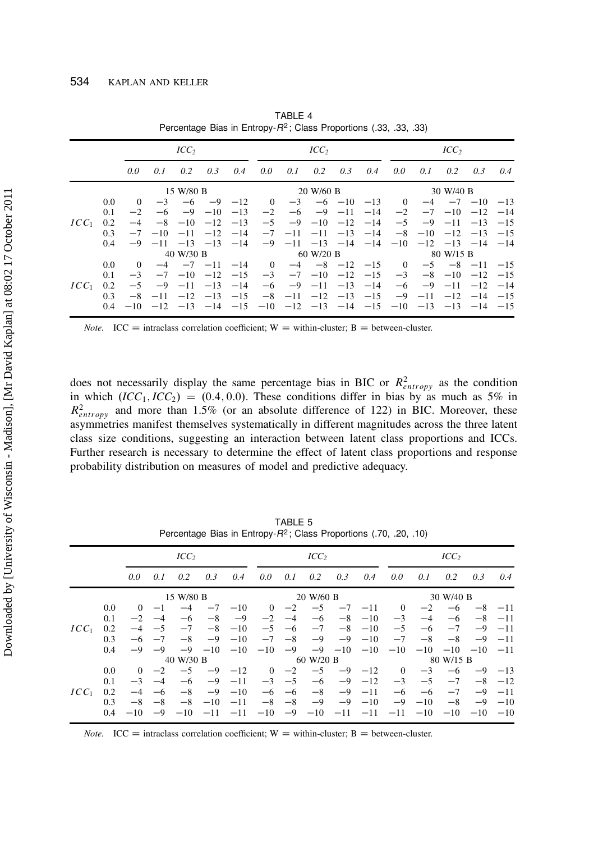|         |     |           |       | ICC <sub>2</sub> |                                                                                           |       | ICC <sub>2</sub> |                              | ICC <sub>2</sub>       |                  |           |                |                                                            |                  |                       |       |  |
|---------|-----|-----------|-------|------------------|-------------------------------------------------------------------------------------------|-------|------------------|------------------------------|------------------------|------------------|-----------|----------------|------------------------------------------------------------|------------------|-----------------------|-------|--|
|         |     | 0.0       | 0.1   | 0.2              | 0.3                                                                                       | 0.4   | 0.0              | 0.1                          |                        | $0.2 \quad 0.3$  | 0.4       | 0.0            | 0.1                                                        | 0.2              | 0.3                   | 0.4   |  |
|         |     | 15 W/80 B |       |                  |                                                                                           |       |                  |                              | 20 W/60 B              |                  | 30 W/40 B |                |                                                            |                  |                       |       |  |
|         | 0.0 | $\Omega$  | $-3$  |                  | $-6$ $-9$ $-12$                                                                           |       | $\Omega$         | $-3$                         |                        | $-6$ $-10$ $-13$ |           | $\overline{0}$ |                                                            |                  | $-4$ $-7$ $-10$ $-13$ |       |  |
|         | 0.1 | $-2$      | -6    |                  | $-9$ $-10$                                                                                | $-13$ | $-2$             | $-6$                         | $-9$ $-11$             |                  | $-14$     | $-2$           |                                                            |                  | $-7$ $-10$ $-12$      | $-14$ |  |
| $ICC_1$ | 0.2 | $-4$      |       | $-8$ $-10$ $-12$ |                                                                                           | $-13$ | $-5$             |                              | $-9$ $-10$ $-12$ $-14$ |                  |           | $-5$           |                                                            |                  | $-9$ $-11$ $-13$      | $-15$ |  |
|         | 0.3 | $-7$      | $-10$ | $-11$            | $-12$                                                                                     | $-14$ |                  | $-7$ $-11$                   |                        | $-11 - 13$       | $-14$     |                | $-8$ $-10$                                                 |                  | $-12 -13$             | $-15$ |  |
|         | 0.4 | $-9$      |       |                  | $-11$ $-13$ $-13$ $-14$                                                                   |       |                  |                              |                        |                  |           |                | $-9$ $-11$ $-13$ $-14$ $-14$ $-10$ $-12$ $-13$ $-14$ $-14$ |                  |                       |       |  |
|         |     |           |       | 40 W/30 B        |                                                                                           |       | 60 W/20 B        |                              |                        |                  |           |                | 80 W/15 B                                                  |                  |                       |       |  |
|         | 0.0 | $\Omega$  | $-4$  |                  | $-7$ $-11$ $-14$                                                                          |       | $\Omega$         |                              | $-4$ $-8$ $-12$ $-15$  |                  |           | $\overline{0}$ | $-5$                                                       |                  | $-8$ $-11$ $-15$      |       |  |
|         | 0.1 | $-3$      | $-7$  | $-10$            | $-12$                                                                                     | $-15$ | $-3$             |                              | $-7$ $-10$ $-12$ $-15$ |                  |           | $-3$           |                                                            | $-8$ $-10$ $-12$ |                       | $-15$ |  |
| $ICC_1$ | 0.2 | $-5$      |       | $-9$ $-11$ $-13$ |                                                                                           | $-14$ | $-6$             |                              | $-9$ $-11$ $-13$ $-14$ |                  |           | $-6$           |                                                            | $-9$ $-11$       | $-12$                 | $-14$ |  |
|         | 0.3 | $-8$      |       |                  | $-11$ $-12$ $-13$ $-15$                                                                   |       |                  | $-8$ $-11$ $-12$ $-13$ $-15$ |                        |                  |           | $-9$           | $-11$                                                      |                  | $-12$ $-14$ $-15$     |       |  |
|         | 0.4 |           |       |                  | $-10$ $-12$ $-13$ $-14$ $-15$ $-10$ $-12$ $-13$ $-14$ $-15$ $-10$ $-13$ $-13$ $-14$ $-15$ |       |                  |                              |                        |                  |           |                |                                                            |                  |                       |       |  |

TABLE 4 Percentage Bias in Entropy-R<sup>2</sup> ; Class Proportions (.33, .33, .33)

*Note.* ICC = intraclass correlation coefficient; W = within-cluster; B = between-cluster.

does not necessarily display the same percentage bias in BIC or  $R_{entropy}^2$  as the condition in which  $(ICC_1, ICC_2) = (0.4, 0.0)$ . These conditions differ in bias by as much as 5% in  $R_{entropy}^2$  and more than 1.5% (or an absolute difference of 122) in BIC. Moreover, these asymmetries manifest themselves systematically in different magnitudes across the three latent class size conditions, suggesting an interaction between latent class proportions and ICCs. Further research is necessary to determine the effect of latent class proportions and response probability distribution on measures of model and predictive adequacy.

| ICC <sub>2</sub>              |  |  |  |  |  |
|-------------------------------|--|--|--|--|--|
| 0.4                           |  |  |  |  |  |
| 30 W/40 B                     |  |  |  |  |  |
| $-8$ $-11$                    |  |  |  |  |  |
| $-8$ $-11$                    |  |  |  |  |  |
| $-11$                         |  |  |  |  |  |
| $-9$ $-11$                    |  |  |  |  |  |
| $-10$ $-10$ $-10$ $-10$ $-11$ |  |  |  |  |  |
| 80 W/15 B                     |  |  |  |  |  |
| $-9$ $-13$                    |  |  |  |  |  |
| $-8$ $-12$                    |  |  |  |  |  |
| $-11$                         |  |  |  |  |  |
| $-9$ $-10$                    |  |  |  |  |  |
| $-11$ $-10$ $-10$ $-10$ $-10$ |  |  |  |  |  |
|                               |  |  |  |  |  |

TABLE 5 Percentage Bias in Entropy-R<sup>2</sup> ; Class Proportions (.70, .20, .10)

*Note.* ICC = intraclass correlation coefficient; W = within-cluster; B = between-cluster.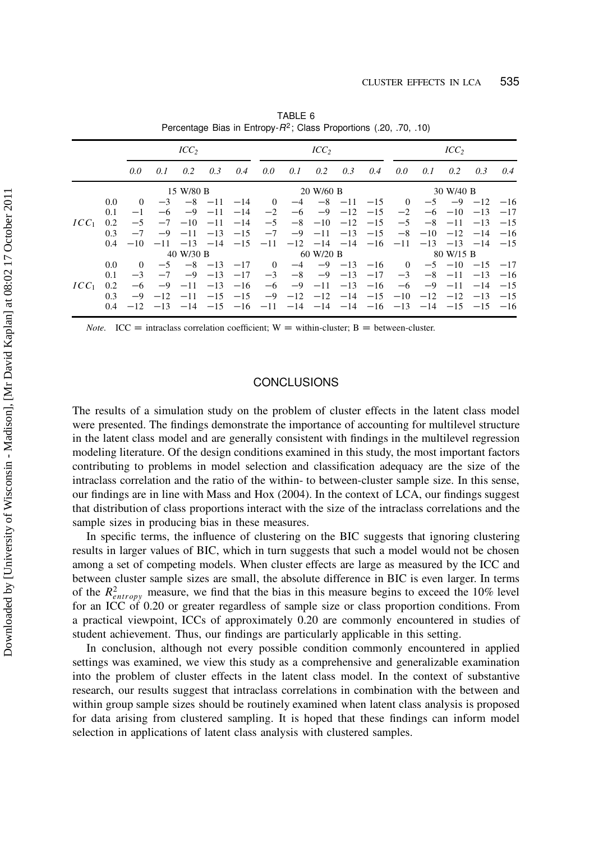|         |               |           |      | ICC <sub>2</sub> |                         |       |                |                                                                                           | ICC <sub>2</sub>        |  | ICC <sub>2</sub> |      |                                                |                        |                  |     |
|---------|---------------|-----------|------|------------------|-------------------------|-------|----------------|-------------------------------------------------------------------------------------------|-------------------------|--|------------------|------|------------------------------------------------|------------------------|------------------|-----|
|         |               | 0.0       | 0.1  | 0.2              | 0.3                     | 0.4   | 0.0            | 0.1                                                                                       | $0.2 \quad 0.3$         |  | 0.4              | 0.0  | 0.1                                            | 0.2                    | 0.3              | 0.4 |
|         |               | 15 W/80 B |      |                  |                         |       |                |                                                                                           | 20 W/60 B               |  | 30 W/40 B        |      |                                                |                        |                  |     |
|         | $0.0^{\circ}$ | $\Omega$  |      |                  | $-3$ $-8$ $-11$ $-14$   |       | $\overline{0}$ |                                                                                           | $-4$ $-8$ $-11$ $-15$ 0 |  |                  |      | $-5$                                           |                        | $-9$ $-12$ $-16$ |     |
|         | 0.1           | $-1$      | $-6$ |                  | $-9$ $-11$              | $-14$ | $-2$           |                                                                                           | $-6$ $-9$ $-12$ $-15$   |  |                  |      | $-2$ $-6$ $-10$ $-13$ $-17$                    |                        |                  |     |
| $ICC_1$ | 0.2           | $-5$      |      |                  | $-7$ $-10$ $-11$        | $-14$ | $-5$           |                                                                                           | $-8$ $-10$ $-12$ $-15$  |  |                  |      | $-5$ $-8$ $-11$ $-13$ $-15$                    |                        |                  |     |
|         | 0.3           | $-7$      |      |                  | $-9$ $-11$ $-13$ $-15$  |       |                | $-7$ $-9$ $-11$ $-13$ $-15$                                                               |                         |  |                  |      | $-8$ $-10$ $-12$ $-14$ $-16$                   |                        |                  |     |
|         | $0.4^{\circ}$ | $-10^{-}$ |      |                  |                         |       |                | $-11$ $-13$ $-14$ $-15$ $-11$ $-12$ $-14$ $-14$ $-16$ $-11$ $-13$ $-13$ $-14$ $-15$       |                         |  |                  |      |                                                |                        |                  |     |
|         |               | 40 W/30 B |      |                  |                         |       |                | 60 W/20 B                                                                                 | 80 W/15 B               |  |                  |      |                                                |                        |                  |     |
|         | $0.0^{\circ}$ | $\Omega$  | $-5$ |                  | $-8$ $-13$ $-17$        |       | $\overline{0}$ |                                                                                           |                         |  |                  |      | $-4$ $-9$ $-13$ $-16$ 0 $-5$ $-10$ $-15$ $-17$ |                        |                  |     |
|         | 0.1           | $-3$      | $-7$ |                  | $-9$ $-13$              | $-17$ |                | $-3$ $-8$ $-9$ $-13$ $-17$                                                                |                         |  |                  | $-3$ |                                                | $-8$ $-11$ $-13$ $-16$ |                  |     |
| $ICC_1$ | 0.2           | $-6$      | $-9$ |                  | $-11$ $-13$ $-16$       |       | $-6$           |                                                                                           | $-9$ $-11$ $-13$ $-16$  |  |                  | $-6$ | $-9$ $-11$ $-14$ $-15$                         |                        |                  |     |
|         | 0.3           | $-9$      |      |                  | $-12$ $-11$ $-15$ $-15$ |       |                | $-9$ $-12$ $-12$ $-14$ $-15$ $-10$ $-12$ $-12$ $-13$ $-15$                                |                         |  |                  |      |                                                |                        |                  |     |
|         | $0.4^{\circ}$ |           |      |                  |                         |       |                | $-12$ $-13$ $-14$ $-15$ $-16$ $-11$ $-14$ $-14$ $-14$ $-16$ $-13$ $-14$ $-15$ $-15$ $-16$ |                         |  |                  |      |                                                |                        |                  |     |

TABLE 6 Percentage Bias in Entropy-R2; Class Proportions (.20, .70, .10)

 $\text{ICC} = \text{intractass correlation coefficient}; W = \text{within-cluster}; B = \text{between-cluster}.$ 

## **CONCLUSIONS**

The results of a simulation study on the problem of cluster effects in the latent class model were presented. The findings demonstrate the importance of accounting for multilevel structure in the latent class model and are generally consistent with findings in the multilevel regression modeling literature. Of the design conditions examined in this study, the most important factors contributing to problems in model selection and classification adequacy are the size of the intraclass correlation and the ratio of the within- to between-cluster sample size. In this sense, our findings are in line with Mass and Hox (2004). In the context of LCA, our findings suggest that distribution of class proportions interact with the size of the intraclass correlations and the sample sizes in producing bias in these measures.

In specific terms, the influence of clustering on the BIC suggests that ignoring clustering results in larger values of BIC, which in turn suggests that such a model would not be chosen among a set of competing models. When cluster effects are large as measured by the ICC and between cluster sample sizes are small, the absolute difference in BIC is even larger. In terms of the  $R_{entropy}^2$  measure, we find that the bias in this measure begins to exceed the 10% level for an ICC of 0.20 or greater regardless of sample size or class proportion conditions. From a practical viewpoint, ICCs of approximately 0.20 are commonly encountered in studies of student achievement. Thus, our findings are particularly applicable in this setting.

In conclusion, although not every possible condition commonly encountered in applied settings was examined, we view this study as a comprehensive and generalizable examination into the problem of cluster effects in the latent class model. In the context of substantive research, our results suggest that intraclass correlations in combination with the between and within group sample sizes should be routinely examined when latent class analysis is proposed for data arising from clustered sampling. It is hoped that these findings can inform model selection in applications of latent class analysis with clustered samples.